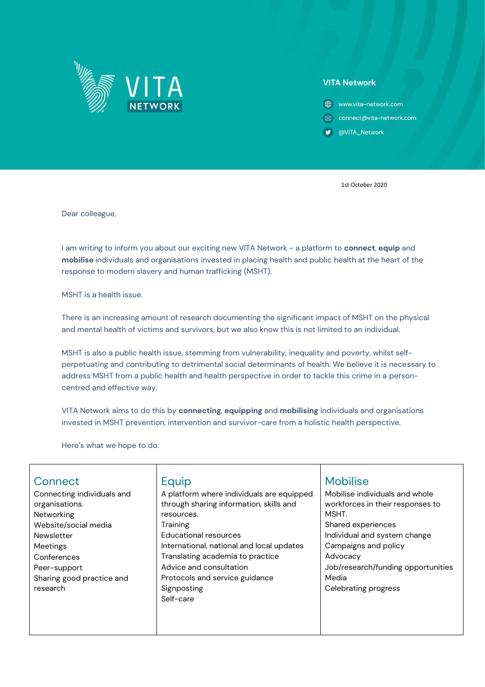

## **VITA Network**

- **⊕** www.vita-network.com
- ⊠ connect@vita-network.com
- OVITA\_Network

1st October 2020

Dear colleague,

I am writing to inform you about our exciting new VITA Network - a platform to **connect**, **equip** and **mobilise** individuals and organisations invested in placing health and public health at the heart of the response to modern slavery and human trafficking (MSHT).

MSHT is a health issue.

There is an increasing amount of research documenting the significant impact of MSHT on the physical and mental health of victims and survivors, but we also know this is not limited to an individual.

MSHT is also a public health issue, stemming from vulnerability, inequality and poverty, whilst selfperpetuating and contributing to detrimental social determinants of health. We believe it is necessary to address MSHT from a public health and health perspective in order to tackle this crime in a personcentred and effective way.

VITA Network aims to do this by **connecting**, **equipping** and **mobilising** individuals and organisations invested in MSHT prevention, intervention and survivor-care from a holistic health perspective.

Here's what we hope to do:

| Connect                    | Equip                                     | <b>Mobilise</b>                    |
|----------------------------|-------------------------------------------|------------------------------------|
| Connecting individuals and | A platform where individuals are equipped | Mobilise individuals and whole     |
| organisations.             | through sharing information, skills and   | workforces in their responses to   |
| Networking                 | resources.                                | MSHT.                              |
| Website/social media       | Training                                  | Shared experiences                 |
| <b>Newsletter</b>          | <b>Educational resources</b>              | Individual and system change       |
| Meetings                   | International, national and local updates | Campaigns and policy               |
| Conferences                | Translating academia to practice          | Advocacy                           |
| Peer-support               | Advice and consultation                   | Job/research/funding opportunities |
| Sharing good practice and  | Protocols and service guidance            | Media                              |
| research                   | Signposting                               | Celebrating progress               |
|                            | Self-care                                 |                                    |
|                            |                                           |                                    |
|                            |                                           |                                    |
|                            |                                           |                                    |